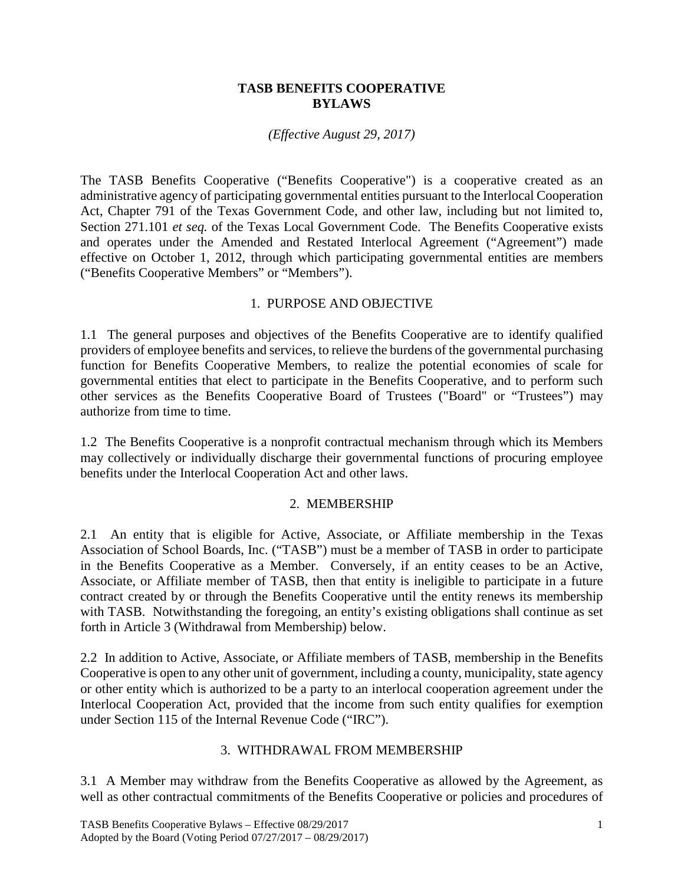### **TASB BENEFITS COOPERATIVE BYLAWS**

### *(Effective August 29, 2017)*

The TASB Benefits Cooperative ("Benefits Cooperative") is a cooperative created as an administrative agency of participating governmental entities pursuant to the Interlocal Cooperation Act, Chapter 791 of the Texas Government Code, and other law, including but not limited to, Section 271.101 *et seq.* of the Texas Local Government Code. The Benefits Cooperative exists and operates under the Amended and Restated Interlocal Agreement ("Agreement") made effective on October 1, 2012, through which participating governmental entities are members ("Benefits Cooperative Members" or "Members").

## 1. PURPOSE AND OBJECTIVE

1.1 The general purposes and objectives of the Benefits Cooperative are to identify qualified providers of employee benefits and services, to relieve the burdens of the governmental purchasing function for Benefits Cooperative Members, to realize the potential economies of scale for governmental entities that elect to participate in the Benefits Cooperative, and to perform such other services as the Benefits Cooperative Board of Trustees ("Board" or "Trustees") may authorize from time to time.

1.2 The Benefits Cooperative is a nonprofit contractual mechanism through which its Members may collectively or individually discharge their governmental functions of procuring employee benefits under the Interlocal Cooperation Act and other laws.

### 2. MEMBERSHIP

2.1 An entity that is eligible for Active, Associate, or Affiliate membership in the Texas Association of School Boards, Inc. ("TASB") must be a member of TASB in order to participate in the Benefits Cooperative as a Member. Conversely, if an entity ceases to be an Active, Associate, or Affiliate member of TASB, then that entity is ineligible to participate in a future contract created by or through the Benefits Cooperative until the entity renews its membership with TASB. Notwithstanding the foregoing, an entity's existing obligations shall continue as set forth in Article 3 (Withdrawal from Membership) below.

2.2 In addition to Active, Associate, or Affiliate members of TASB, membership in the Benefits Cooperative is open to any other unit of government, including a county, municipality, state agency or other entity which is authorized to be a party to an interlocal cooperation agreement under the Interlocal Cooperation Act, provided that the income from such entity qualifies for exemption under Section 115 of the Internal Revenue Code ("IRC").

### 3. WITHDRAWAL FROM MEMBERSHIP

3.1 A Member may withdraw from the Benefits Cooperative as allowed by the Agreement, as well as other contractual commitments of the Benefits Cooperative or policies and procedures of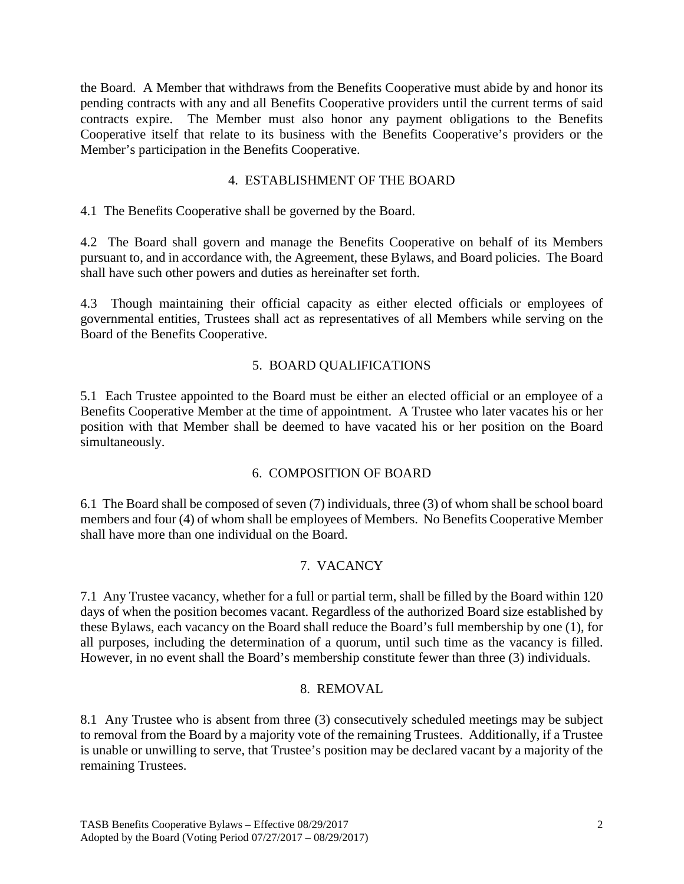the Board. A Member that withdraws from the Benefits Cooperative must abide by and honor its pending contracts with any and all Benefits Cooperative providers until the current terms of said contracts expire. The Member must also honor any payment obligations to the Benefits Cooperative itself that relate to its business with the Benefits Cooperative's providers or the Member's participation in the Benefits Cooperative.

## 4. ESTABLISHMENT OF THE BOARD

4.1 The Benefits Cooperative shall be governed by the Board.

4.2 The Board shall govern and manage the Benefits Cooperative on behalf of its Members pursuant to, and in accordance with, the Agreement, these Bylaws, and Board policies. The Board shall have such other powers and duties as hereinafter set forth.

4.3 Though maintaining their official capacity as either elected officials or employees of governmental entities, Trustees shall act as representatives of all Members while serving on the Board of the Benefits Cooperative.

## 5. BOARD QUALIFICATIONS

5.1 Each Trustee appointed to the Board must be either an elected official or an employee of a Benefits Cooperative Member at the time of appointment. A Trustee who later vacates his or her position with that Member shall be deemed to have vacated his or her position on the Board simultaneously.

## 6. COMPOSITION OF BOARD

6.1 The Board shall be composed of seven (7) individuals, three (3) of whom shall be school board members and four (4) of whom shall be employees of Members. No Benefits Cooperative Member shall have more than one individual on the Board.

## 7. VACANCY

7.1 Any Trustee vacancy, whether for a full or partial term, shall be filled by the Board within 120 days of when the position becomes vacant. Regardless of the authorized Board size established by these Bylaws, each vacancy on the Board shall reduce the Board's full membership by one (1), for all purposes, including the determination of a quorum, until such time as the vacancy is filled. However, in no event shall the Board's membership constitute fewer than three (3) individuals.

### 8. REMOVAL

8.1 Any Trustee who is absent from three (3) consecutively scheduled meetings may be subject to removal from the Board by a majority vote of the remaining Trustees. Additionally, if a Trustee is unable or unwilling to serve, that Trustee's position may be declared vacant by a majority of the remaining Trustees.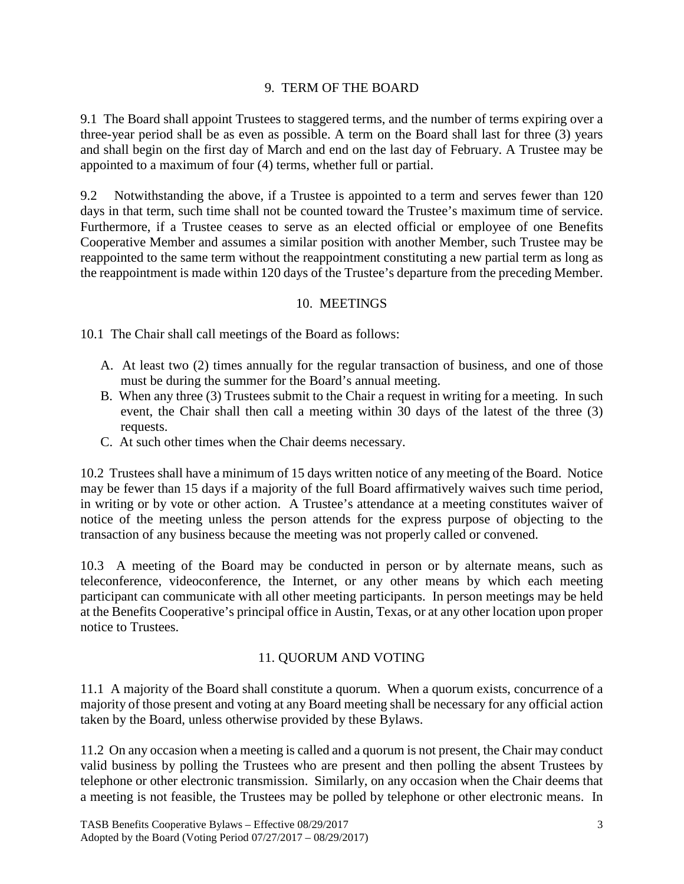### 9. TERM OF THE BOARD

9.1 The Board shall appoint Trustees to staggered terms, and the number of terms expiring over a three-year period shall be as even as possible. A term on the Board shall last for three (3) years and shall begin on the first day of March and end on the last day of February. A Trustee may be appointed to a maximum of four (4) terms, whether full or partial.

9.2 Notwithstanding the above, if a Trustee is appointed to a term and serves fewer than 120 days in that term, such time shall not be counted toward the Trustee's maximum time of service. Furthermore, if a Trustee ceases to serve as an elected official or employee of one Benefits Cooperative Member and assumes a similar position with another Member, such Trustee may be reappointed to the same term without the reappointment constituting a new partial term as long as the reappointment is made within 120 days of the Trustee's departure from the preceding Member.

## 10. MEETINGS

10.1 The Chair shall call meetings of the Board as follows:

- A. At least two (2) times annually for the regular transaction of business, and one of those must be during the summer for the Board's annual meeting.
- B. When any three (3) Trustees submit to the Chair a request in writing for a meeting. In such event, the Chair shall then call a meeting within 30 days of the latest of the three (3) requests.
- C. At such other times when the Chair deems necessary.

10.2 Trustees shall have a minimum of 15 days written notice of any meeting of the Board. Notice may be fewer than 15 days if a majority of the full Board affirmatively waives such time period, in writing or by vote or other action. A Trustee's attendance at a meeting constitutes waiver of notice of the meeting unless the person attends for the express purpose of objecting to the transaction of any business because the meeting was not properly called or convened.

10.3 A meeting of the Board may be conducted in person or by alternate means, such as teleconference, videoconference, the Internet, or any other means by which each meeting participant can communicate with all other meeting participants. In person meetings may be held at the Benefits Cooperative's principal office in Austin, Texas, or at any other location upon proper notice to Trustees.

## 11. QUORUM AND VOTING

11.1 A majority of the Board shall constitute a quorum. When a quorum exists, concurrence of a majority of those present and voting at any Board meeting shall be necessary for any official action taken by the Board, unless otherwise provided by these Bylaws.

11.2 On any occasion when a meeting is called and a quorum is not present, the Chair may conduct valid business by polling the Trustees who are present and then polling the absent Trustees by telephone or other electronic transmission. Similarly, on any occasion when the Chair deems that a meeting is not feasible, the Trustees may be polled by telephone or other electronic means. In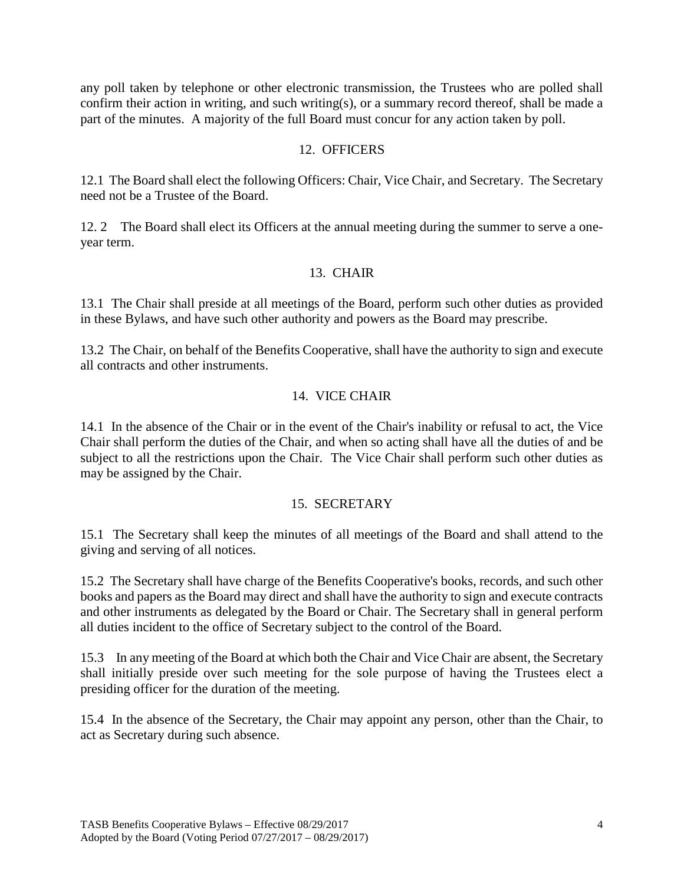any poll taken by telephone or other electronic transmission, the Trustees who are polled shall confirm their action in writing, and such writing(s), or a summary record thereof, shall be made a part of the minutes. A majority of the full Board must concur for any action taken by poll.

### 12. OFFICERS

12.1 The Board shall elect the following Officers: Chair, Vice Chair, and Secretary. The Secretary need not be a Trustee of the Board.

12. 2 The Board shall elect its Officers at the annual meeting during the summer to serve a oneyear term.

### 13. CHAIR

13.1 The Chair shall preside at all meetings of the Board, perform such other duties as provided in these Bylaws, and have such other authority and powers as the Board may prescribe.

13.2 The Chair, on behalf of the Benefits Cooperative, shall have the authority to sign and execute all contracts and other instruments.

### 14. VICE CHAIR

14.1 In the absence of the Chair or in the event of the Chair's inability or refusal to act, the Vice Chair shall perform the duties of the Chair, and when so acting shall have all the duties of and be subject to all the restrictions upon the Chair. The Vice Chair shall perform such other duties as may be assigned by the Chair.

### 15. SECRETARY

15.1 The Secretary shall keep the minutes of all meetings of the Board and shall attend to the giving and serving of all notices.

15.2 The Secretary shall have charge of the Benefits Cooperative's books, records, and such other books and papers as the Board may direct and shall have the authority to sign and execute contracts and other instruments as delegated by the Board or Chair. The Secretary shall in general perform all duties incident to the office of Secretary subject to the control of the Board.

15.3 In any meeting of the Board at which both the Chair and Vice Chair are absent, the Secretary shall initially preside over such meeting for the sole purpose of having the Trustees elect a presiding officer for the duration of the meeting.

15.4 In the absence of the Secretary, the Chair may appoint any person, other than the Chair, to act as Secretary during such absence.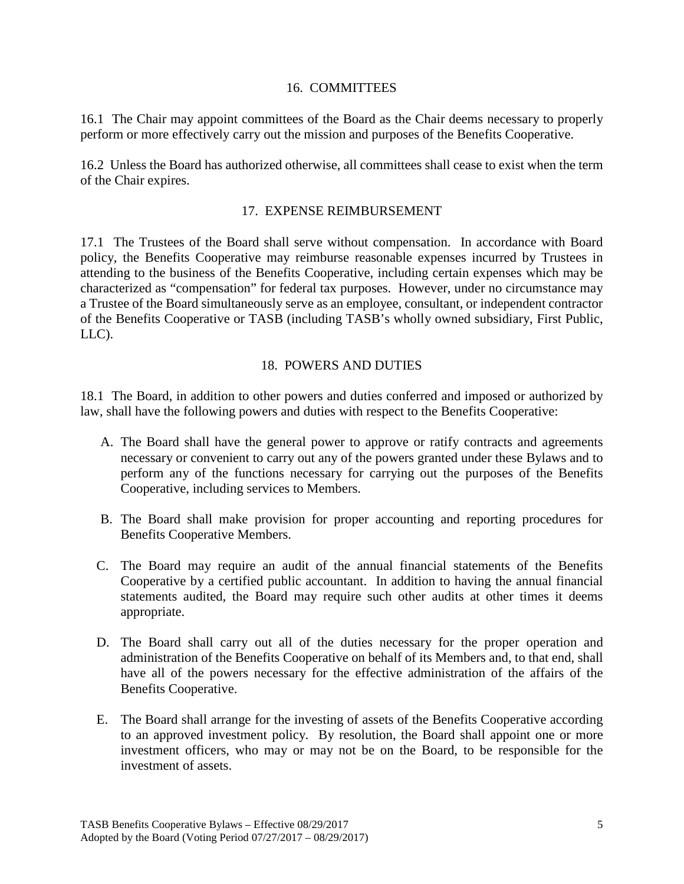### 16. COMMITTEES

16.1 The Chair may appoint committees of the Board as the Chair deems necessary to properly perform or more effectively carry out the mission and purposes of the Benefits Cooperative.

16.2 Unless the Board has authorized otherwise, all committees shall cease to exist when the term of the Chair expires.

## 17. EXPENSE REIMBURSEMENT

17.1 The Trustees of the Board shall serve without compensation. In accordance with Board policy, the Benefits Cooperative may reimburse reasonable expenses incurred by Trustees in attending to the business of the Benefits Cooperative, including certain expenses which may be characterized as "compensation" for federal tax purposes. However, under no circumstance may a Trustee of the Board simultaneously serve as an employee, consultant, or independent contractor of the Benefits Cooperative or TASB (including TASB's wholly owned subsidiary, First Public, LLC).

### 18. POWERS AND DUTIES

18.1 The Board, in addition to other powers and duties conferred and imposed or authorized by law, shall have the following powers and duties with respect to the Benefits Cooperative:

- A. The Board shall have the general power to approve or ratify contracts and agreements necessary or convenient to carry out any of the powers granted under these Bylaws and to perform any of the functions necessary for carrying out the purposes of the Benefits Cooperative, including services to Members.
- B. The Board shall make provision for proper accounting and reporting procedures for Benefits Cooperative Members.
- C. The Board may require an audit of the annual financial statements of the Benefits Cooperative by a certified public accountant. In addition to having the annual financial statements audited, the Board may require such other audits at other times it deems appropriate.
- D. The Board shall carry out all of the duties necessary for the proper operation and administration of the Benefits Cooperative on behalf of its Members and, to that end, shall have all of the powers necessary for the effective administration of the affairs of the Benefits Cooperative.
- E. The Board shall arrange for the investing of assets of the Benefits Cooperative according to an approved investment policy. By resolution, the Board shall appoint one or more investment officers, who may or may not be on the Board, to be responsible for the investment of assets.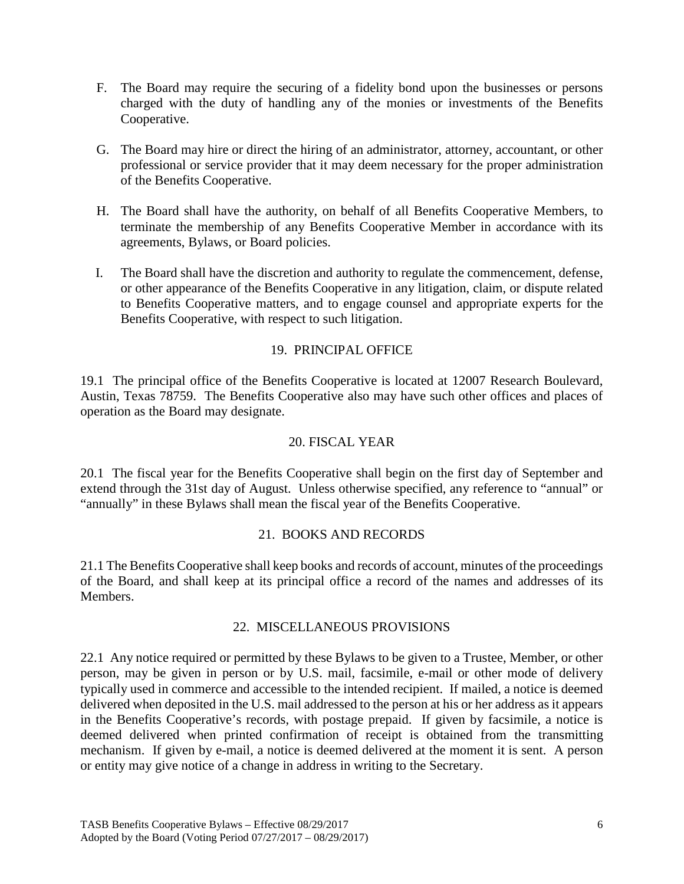- F. The Board may require the securing of a fidelity bond upon the businesses or persons charged with the duty of handling any of the monies or investments of the Benefits Cooperative.
- G. The Board may hire or direct the hiring of an administrator, attorney, accountant, or other professional or service provider that it may deem necessary for the proper administration of the Benefits Cooperative.
- H. The Board shall have the authority, on behalf of all Benefits Cooperative Members, to terminate the membership of any Benefits Cooperative Member in accordance with its agreements, Bylaws, or Board policies.
- I. The Board shall have the discretion and authority to regulate the commencement, defense, or other appearance of the Benefits Cooperative in any litigation, claim, or dispute related to Benefits Cooperative matters, and to engage counsel and appropriate experts for the Benefits Cooperative, with respect to such litigation.

## 19. PRINCIPAL OFFICE

19.1 The principal office of the Benefits Cooperative is located at 12007 Research Boulevard, Austin, Texas 78759. The Benefits Cooperative also may have such other offices and places of operation as the Board may designate.

## 20. FISCAL YEAR

20.1 The fiscal year for the Benefits Cooperative shall begin on the first day of September and extend through the 31st day of August. Unless otherwise specified, any reference to "annual" or "annually" in these Bylaws shall mean the fiscal year of the Benefits Cooperative.

### 21. BOOKS AND RECORDS

21.1 The Benefits Cooperative shall keep books and records of account, minutes of the proceedings of the Board, and shall keep at its principal office a record of the names and addresses of its Members.

### 22. MISCELLANEOUS PROVISIONS

22.1 Any notice required or permitted by these Bylaws to be given to a Trustee, Member, or other person, may be given in person or by U.S. mail, facsimile, e-mail or other mode of delivery typically used in commerce and accessible to the intended recipient. If mailed, a notice is deemed delivered when deposited in the U.S. mail addressed to the person at his or her address as it appears in the Benefits Cooperative's records, with postage prepaid. If given by facsimile, a notice is deemed delivered when printed confirmation of receipt is obtained from the transmitting mechanism. If given by e-mail, a notice is deemed delivered at the moment it is sent. A person or entity may give notice of a change in address in writing to the Secretary.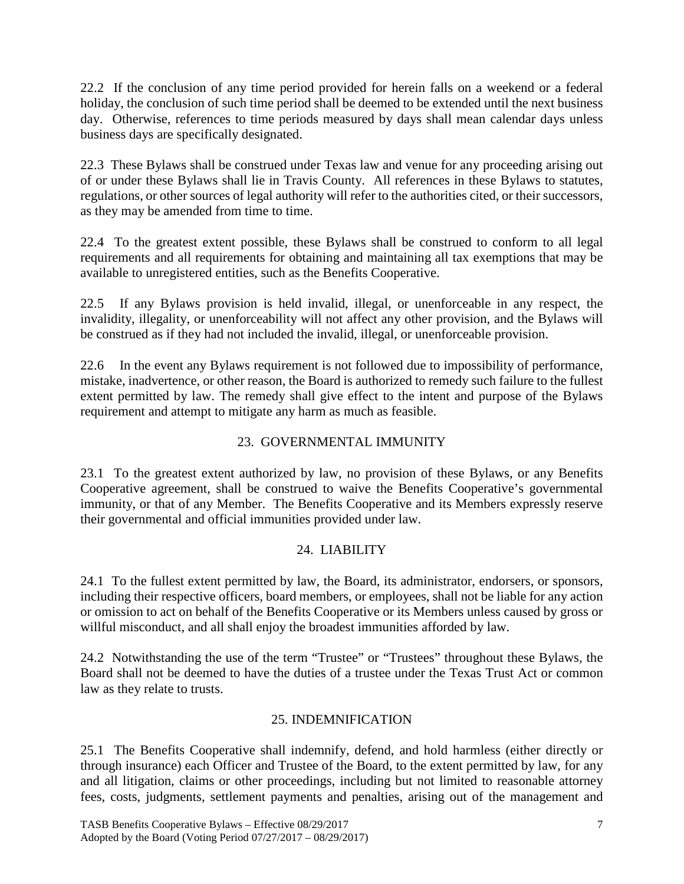22.2 If the conclusion of any time period provided for herein falls on a weekend or a federal holiday, the conclusion of such time period shall be deemed to be extended until the next business day. Otherwise, references to time periods measured by days shall mean calendar days unless business days are specifically designated.

22.3 These Bylaws shall be construed under Texas law and venue for any proceeding arising out of or under these Bylaws shall lie in Travis County. All references in these Bylaws to statutes, regulations, or other sources of legal authority will refer to the authorities cited, or their successors, as they may be amended from time to time.

22.4 To the greatest extent possible, these Bylaws shall be construed to conform to all legal requirements and all requirements for obtaining and maintaining all tax exemptions that may be available to unregistered entities, such as the Benefits Cooperative.

22.5 If any Bylaws provision is held invalid, illegal, or unenforceable in any respect, the invalidity, illegality, or unenforceability will not affect any other provision, and the Bylaws will be construed as if they had not included the invalid, illegal, or unenforceable provision.

22.6 In the event any Bylaws requirement is not followed due to impossibility of performance, mistake, inadvertence, or other reason, the Board is authorized to remedy such failure to the fullest extent permitted by law. The remedy shall give effect to the intent and purpose of the Bylaws requirement and attempt to mitigate any harm as much as feasible.

# 23. GOVERNMENTAL IMMUNITY

23.1 To the greatest extent authorized by law, no provision of these Bylaws, or any Benefits Cooperative agreement, shall be construed to waive the Benefits Cooperative's governmental immunity, or that of any Member. The Benefits Cooperative and its Members expressly reserve their governmental and official immunities provided under law.

## 24. LIABILITY

24.1 To the fullest extent permitted by law, the Board, its administrator, endorsers, or sponsors, including their respective officers, board members, or employees, shall not be liable for any action or omission to act on behalf of the Benefits Cooperative or its Members unless caused by gross or willful misconduct, and all shall enjoy the broadest immunities afforded by law.

24.2 Notwithstanding the use of the term "Trustee" or "Trustees" throughout these Bylaws, the Board shall not be deemed to have the duties of a trustee under the Texas Trust Act or common law as they relate to trusts.

## 25. INDEMNIFICATION

25.1 The Benefits Cooperative shall indemnify, defend, and hold harmless (either directly or through insurance) each Officer and Trustee of the Board, to the extent permitted by law, for any and all litigation, claims or other proceedings, including but not limited to reasonable attorney fees, costs, judgments, settlement payments and penalties, arising out of the management and